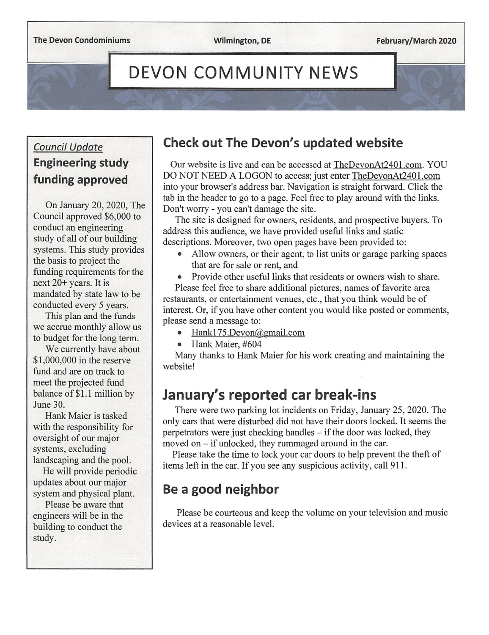February/March 2020

# **DEVON COMMUNITY NEWS**

### Council Update Engineering study funding approved

On January 20, 2020, The Council approved \$6,000 to conduct an engineering study of all of our building systems. This study provides the basis to project the funding requirements for the next 20+ years. It is mandated by state law to be conducted every 5 years.

This plan and the funds we accrue monthly allow us to budget for the long term.

We currently have about \$1,000,000 in the reserve fund and are on track to meet the projected fund balance of \$1.1 million by June 30.

Hank Maier is tasked with the responsibility for oversight of our major systems, excluding landscaping and the pool.

He will provide periodic updates about our major system and physical plant.

Please be aware that engineers will be in the building to conduct the study.

## Check out The Devon's updated website

Our website is live and can be accessed at TheDevonAt2401 .com. YOU DO NOT NEED A LOGON to access; just enter TheDevonAt2401 .com into your browser's address bar. Navigation is straight forward. Click the tab in the header to go to a page. Feel free to play around with the links. Don't worry - you can't damage the site.

The site is designed for owners, residents, and prospective buyers. To address this audience, we have provided useful links and static descriptions. Moreover, two open pages have been provided to:

• Allow owners, or their agent, to list units or garage parking spaces that are for sale or rent, and

• Provide other useful links that residents or owners wish to share. Please feel free to share additional pictures, names of favorite area restaurants, or entertainment venues, etc., that you think would be of interest. Or, if you have other content you would like posted or comments, please send a message to:

- Hank175.Devon@gmail.com
- Hank Maier, #604

Many thanks to Hank Maier for his work creating and maintaining the website!

# January's reported car break-ins

There were two parking lot incidents on Friday, January 25, 2020. The only cars that were disturbed did not have their doors locked. It seems the perpetrators were just checking handles – if the door was locked, they moved on – if unlocked, they rummaged around in the car.

Please take the time to lock your car doors to help prevent the theft of items left in the car. If you see any suspicious activity, call 911.

# Be a good neighbor

Please be courteous and keep the volume on your television and music devices at a reasonable level.